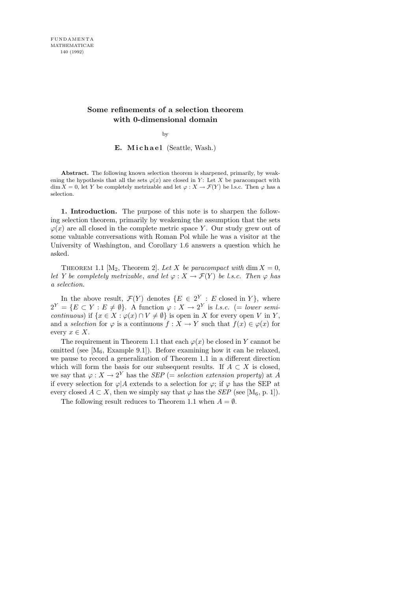## Some refinements of a selection theorem with 0-dimensional domain

by

## E. Michael (Seattle, Wash.)

Abstract. The following known selection theorem is sharpened, primarily, by weakening the hypothesis that all the sets  $\varphi(x)$  are closed in Y: Let X be paracompact with dim  $X = 0$ , let Y be completely metrizable and let  $\varphi : X \to \mathcal{F}(Y)$  be l.s.c. Then  $\varphi$  has a selection.

1. Introduction. The purpose of this note is to sharpen the following selection theorem, primarily by weakening the assumption that the sets  $\varphi(x)$  are all closed in the complete metric space Y. Our study grew out of some valuable conversations with Roman Pol while he was a visitor at the University of Washington, and Corollary 1.6 answers a question which he asked.

THEOREM 1.1 [M<sub>2</sub>, Theorem 2]. Let X be paracompact with dim  $X = 0$ , let Y be completely metrizable, and let  $\varphi: X \to \mathcal{F}(Y)$  be l.s.c. Then  $\varphi$  has a selection.

In the above result,  $\mathcal{F}(Y)$  denotes  $\{E \in 2^Y : E \text{ closed in } Y\}$ , where  $2^Y = \{ E \subset Y : E \neq \emptyset \}.$  A function  $\varphi : X \to 2^Y$  is *l.s.c.* (= lower semicontinuous) if  $\{x \in X : \varphi(x) \cap V \neq \emptyset\}$  is open in X for every open V in Y, and a selection for  $\varphi$  is a continuous  $f: X \to Y$  such that  $f(x) \in \varphi(x)$  for every  $x \in X$ .

The requirement in Theorem 1.1 that each  $\varphi(x)$  be closed in Y cannot be omitted (see  $[M_6, Example 9.1]$ ). Before examining how it can be relaxed, we pause to record a generalization of Theorem 1.1 in a different direction which will form the basis for our subsequent results. If  $A \subset X$  is closed, we say that  $\varphi: X \to 2^Y$  has the *SEP* (= *selection extension property*) at A if every selection for  $\varphi$ |A extends to a selection for  $\varphi$ ; if  $\varphi$  has the SEP at every closed  $A \subset X$ , then we simply say that  $\varphi$  has the *SEP* (see [M<sub>6</sub>, p. 1]).

The following result reduces to Theorem 1.1 when  $A = \emptyset$ .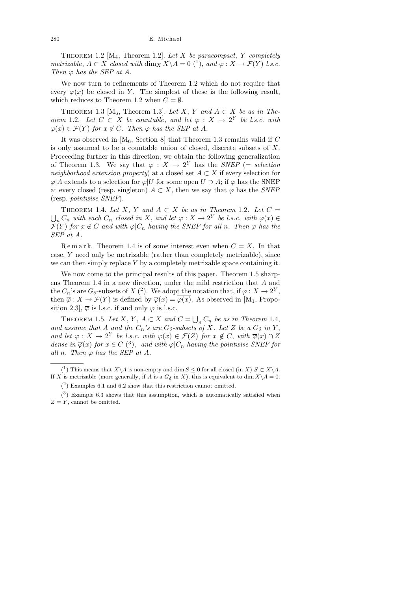THEOREM 1.2  $[M_4,$  Theorem 1.2. Let X be paracompact, Y completely metrizable,  $A \subset X$  closed with  $\dim_X X \backslash A = 0$  (1), and  $\varphi : X \to \mathcal{F}(Y)$  l.s.c. Then  $\varphi$  has the SEP at A.

We now turn to refinements of Theorem 1.2 which do not require that every  $\varphi(x)$  be closed in Y. The simplest of these is the following result, which reduces to Theorem 1.2 when  $C = \emptyset$ .

THEOREM 1.3 [M<sub>6</sub>, Theorem 1.3]. Let X, Y and  $A \subset X$  be as in Theorem 1.2. Let  $C \subset X$  be countable, and let  $\varphi : X \to 2^Y$  be l.s.c. with  $\varphi(x) \in \mathcal{F}(Y)$  for  $x \notin C$ . Then  $\varphi$  has the SEP at A.

It was observed in  $[M_6,$  Section 8 that Theorem 1.3 remains valid if C is only assumed to be a countable union of closed, discrete subsets of  $X$ . Proceeding further in this direction, we obtain the following generalization of Theorem 1.3. We say that  $\varphi : X \to 2^Y$  has the SNEP (= selection neighborhood extension property) at a closed set  $A \subset X$  if every selection for  $\varphi|A$  extends to a selection for  $\varphi|U$  for some open  $U \supset A$ ; if  $\varphi$  has the SNEP at every closed (resp. singleton)  $A \subset X$ , then we say that  $\varphi$  has the SNEP (resp. pointwise SNEP).

THEOREM 1.4. Let X, Y and  $A \subset X$  be as in Theorem 1.2. Let  $C =$  $\bigcup_n C_n$  with each  $C_n$  closed in X, and let  $\varphi: X \to 2^Y$  be l.s.c. with  $\varphi(x) \in$  $\mathcal{F}(Y)$  for  $x \notin C$  and with  $\varphi|C_n$  having the SNEP for all n. Then  $\varphi$  has the SEP at A.

Remark. Theorem 1.4 is of some interest even when  $C = X$ . In that case, Y need only be metrizable (rather than completely metrizable), since we can then simply replace  $Y$  by a completely metrizable space containing it.

We now come to the principal results of this paper. Theorem 1.5 sharpens Theorem 1.4 in a new direction, under the mild restriction that A and the  $C_n$ 's are  $G_\delta$ -subsets of  $X(2)$ . We adopt the notation that, if  $\varphi: X \to 2^Y$ , then  $\overline{\varphi}: X \to \mathcal{F}(Y)$  is defined by  $\overline{\varphi}(x) = \varphi(x)$ . As observed in [M<sub>1</sub>, Proposition 2.3,  $\overline{\varphi}$  is l.s.c. if and only  $\varphi$  is l.s.c.

THEOREM 1.5. Let X, Y,  $A \subset X$  and  $C = \bigcup_n C_n$  be as in Theorem 1.4, and assume that A and the  $C_n$ 's are  $G_\delta$ -subsets of X. Let Z be a  $G_\delta$  in Y, and let  $\varphi: X \to 2^Y$  be l.s.c. with  $\varphi(x) \in \mathcal{F}(Z)$  for  $x \notin C$ , with  $\overline{\varphi}(x) \cap Z$ dense in  $\overline{\varphi}(x)$  for  $x \in C$  (<sup>3</sup>), and with  $\varphi|C_n$  having the pointwise SNEP for all n. Then  $\varphi$  has the SEP at A.

<sup>(&</sup>lt;sup>1</sup>) This means that  $X\setminus A$  is non-empty and dim  $S\leq 0$  for all closed (in X)  $S\subset X\setminus A$ . If X is metrizable (more generally, if A is a  $G_{\delta}$  in X), this is equivalent to dim  $X\setminus A = 0$ .

 $(2)$  Examples 6.1 and 6.2 show that this restriction cannot omitted.

 $(3)$  Example 6.3 shows that this assumption, which is automatically satisfied when  $Z = Y$ , cannot be omitted.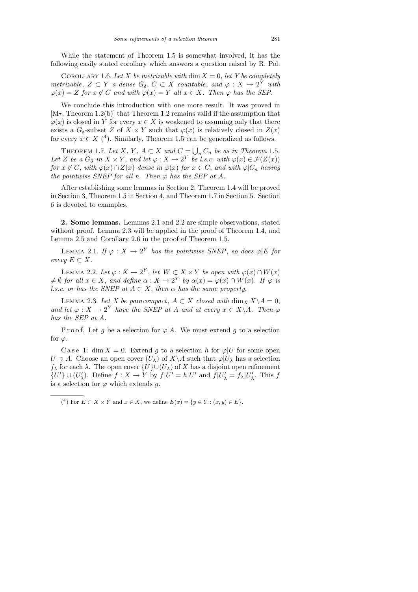While the statement of Theorem 1.5 is somewhat involved, it has the following easily stated corollary which answers a question raised by R. Pol.

COROLLARY 1.6. Let X be metrizable with dim  $X = 0$ , let Y be completely metrizable,  $Z \subset Y$  a dense  $G_{\delta}, C \subset X$  countable, and  $\varphi : X \to 2^Y$  with  $\varphi(x) = Z$  for  $x \notin C$  and with  $\overline{\varphi}(x) = Y$  all  $x \in X$ . Then  $\varphi$  has the SEP.

We conclude this introduction with one more result. It was proved in  $[M_7, Theorem 1.2(b)]$  that Theorem 1.2 remains valid if the assumption that  $\varphi(x)$  is closed in Y for every  $x \in X$  is weakened to assuming only that there exists a  $G_{\delta}$ -subset Z of  $X \times Y$  such that  $\varphi(x)$  is relatively closed in  $Z(x)$ for every  $x \in X$  (<sup>4</sup>). Similarly, Theorem 1.5 can be generalized as follows.

THEOREM 1.7. Let X, Y,  $A \subset X$  and  $C = \bigcup_n C_n$  be as in Theorem 1.5. Let Z be a  $G_{\delta}$  in  $X \times Y$ , and let  $\varphi : X \to 2^Y$  be l.s.c. with  $\varphi(x) \in \mathcal{F}(Z(x))$ for  $x \notin C$ , with  $\overline{\varphi}(x) \cap Z(x)$  dense in  $\overline{\varphi}(x)$  for  $x \in C$ , and with  $\varphi|C_n$  having the pointwise SNEP for all n. Then  $\varphi$  has the SEP at A.

After establishing some lemmas in Section 2, Theorem 1.4 will be proved in Section 3, Theorem 1.5 in Section 4, and Theorem 1.7 in Section 5. Section 6 is devoted to examples.

2. Some lemmas. Lemmas 2.1 and 2.2 are simple observations, stated without proof. Lemma 2.3 will be applied in the proof of Theorem 1.4, and Lemma 2.5 and Corollary 2.6 in the proof of Theorem 1.5.

LEMMA 2.1. If  $\varphi: X \to 2^Y$  has the pointwise SNEP, so does  $\varphi |E$  for every  $E \subset X$ .

LEMMA 2.2. Let  $\varphi: X \to 2^Y$ , let  $W \subset X \times Y$  be open with  $\varphi(x) \cap W(x)$  $\neq \emptyset$  for all  $x \in X$ , and define  $\alpha: X \to 2^Y$  by  $\alpha(x) = \varphi(x) \cap W(x)$ . If  $\varphi$  is l.s.c. or has the SNEP at  $A \subset X$ , then  $\alpha$  has the same property.

LEMMA 2.3. Let X be paracompact,  $A \subset X$  closed with  $\dim_X X \backslash A = 0$ , and let  $\varphi: X \to 2^Y$  have the SNEP at A and at every  $x \in X \backslash A$ . Then  $\varphi$ has the SEP at A.

Proof. Let g be a selection for  $\varphi$ |A. We must extend g to a selection for  $\varphi$ .

C a set 1: dim  $X = 0$ . Extend g to a selection h for  $\varphi|U$  for some open  $U \supset A$ . Choose an open cover  $(U_\lambda)$  of  $X\backslash A$  such that  $\varphi|U_\lambda$  has a selection  $f_{\lambda}$  for each  $\lambda$ . The open cover  $\{U\} \cup (U_{\lambda})$  of X has a disjoint open refinement  $\{U'\}\cup (U'_{\lambda})$ . Define  $f: X \to Y$  by  $f|U' = h|U'$  and  $f|U'_{\lambda} = f_{\lambda}|U'_{\lambda}$ . This f is a selection for  $\varphi$  which extends  $g$ .

<sup>(&</sup>lt;sup>4</sup>) For  $E \subset X \times Y$  and  $x \in X$ , we define  $E(x) = \{y \in Y : (x, y) \in E\}.$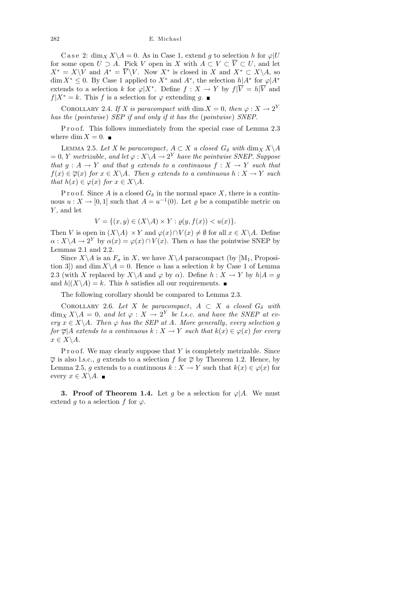C a s e 2: dim<sub>X</sub>  $X \setminus A = 0$ . As in Case 1, extend g to selection h for  $\varphi | U$ for some open  $U \supset A$ . Pick V open in X with  $A \subset V \subset \overline{V} \subset U$ , and let  $X^* = X \backslash V$  and  $A^* = \overline{V} \backslash V$ . Now  $X^*$  is closed in X and  $X^* \subset X \backslash A$ , so  $\dim X^* \leq 0$ . By Case 1 applied to  $X^*$  and  $A^*$ , the selection  $h|A^*$  for  $\varphi|A^*$ extends to a selection k for  $\varphi|X^*$ . Define  $f: X \to Y$  by  $f|\overline{V} = h|\overline{V}$  and  $f|X^* = k$ . This f is a selection for  $\varphi$  extending g. ■

COROLLARY 2.4. If X is paracompact with dim  $X = 0$ , then  $\varphi : X \to 2^Y$ has the (pointwise) SEP if and only if it has the (pointwise) SNEP.

Proof. This follows immediately from the special case of Lemma 2.3 where dim  $X = 0$ .

LEMMA 2.5. Let X be paracompact,  $A \subset X$  a closed  $G_{\delta}$  with  $\dim_X X \backslash A$  $= 0, Y$  metrizable, and let  $\varphi: X \backslash A \rightarrow 2^Y$  have the pointwise SNEP. Suppose that  $g : A \to Y$  and that g extends to a continuous  $f : X \to Y$  such that  $f(x) \in \overline{\varphi}(x)$  for  $x \in X \backslash A$ . Then g extends to a continuous  $h: X \to Y$  such that  $h(x) \in \varphi(x)$  for  $x \in X \backslash A$ .

P r o o f. Since A is a closed  $G_{\delta}$  in the normal space X, there is a continuous  $u: X \to [0,1]$  such that  $A = u^{-1}(0)$ . Let  $\varrho$  be a compatible metric on Y, and let

$$
V = \{(x, y) \in (X \backslash A) \times Y : \varrho(y, f(x)) < u(x)\}.
$$

Then V is open in  $(X\backslash A) \times Y$  and  $\varphi(x) \cap V(x) \neq \emptyset$  for all  $x \in X\backslash A$ . Define  $\alpha: X \backslash A \to 2^Y$  by  $\alpha(x) = \varphi(x) \cap V(x)$ . Then  $\alpha$  has the pointwise SNEP by Lemmas 2.1 and 2.2.

Since  $X \setminus A$  is an  $F_{\sigma}$  in X, we have  $X \setminus A$  paracompact (by  $[M_1,$  Proposition 3) and dim  $X \setminus A = 0$ . Hence  $\alpha$  has a selection k by Case 1 of Lemma 2.3 (with X replaced by  $X\setminus A$  and  $\varphi$  by  $\alpha$ ). Define  $h: X \to Y$  by  $h|A = g$ and  $h|(X\setminus A)=k$ . This h satisfies all our requirements.

The following corollary should be compared to Lemma 2.3.

COROLLARY 2.6. Let X be paracompact,  $A \subset X$  a closed  $G_{\delta}$  with  $\dim_X X \backslash A = 0$ , and let  $\varphi : X \to 2^Y$  be l.s.c. and have the SNEP at every  $x \in X \backslash A$ . Then  $\varphi$  has the SEP at A. More generally, every selection g for  $\overline{\varphi}|A$  extends to a continuous  $k : X \to Y$  such that  $k(x) \in \varphi(x)$  for every  $x \in X \backslash A$ .

P r o o f. We may clearly suppose that  $Y$  is completely metrizable. Since  $\overline{\varphi}$  is also l.s.c., g extends to a selection f for  $\overline{\varphi}$  by Theorem 1.2. Hence, by Lemma 2.5, g extends to a continuous  $k : X \to Y$  such that  $k(x) \in \varphi(x)$  for every  $x \in X \backslash A$ . ■

**3. Proof of Theorem 1.4.** Let g be a selection for  $\varphi$  |A. We must extend g to a selection f for  $\varphi$ .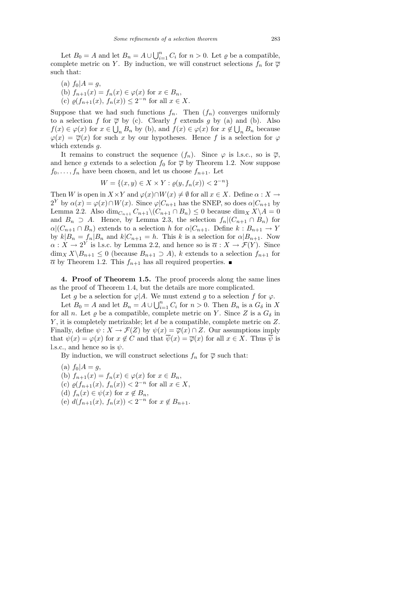Let  $B_0 = A$  and let  $B_n = A \cup \bigcup_{i=1}^n C_i$  for  $n > 0$ . Let  $\varrho$  be a compatible, complete metric on Y. By induction, we will construct selections  $f_n$  for  $\overline{\varphi}$ such that:

(a)  $f_0|A = g$ , (b)  $f_{n+1}(x) = f_n(x) \in \varphi(x)$  for  $x \in B_n$ , (c)  $\varrho(f_{n+1}(x), f_n(x)) \leq 2^{-n}$  for all  $x \in X$ .

Suppose that we had such functions  $f_n$ . Then  $(f_n)$  converges uniformly to a selection f for  $\overline{\varphi}$  by (c). Clearly f extends g by (a) and (b). Also  $f(x) \in \varphi(x)$  for  $x \in \bigcup_n B_n$  by (b), and  $f(x) \in \varphi(x)$  for  $x \notin \bigcup_n B_n$  because  $\varphi(x) = \overline{\varphi}(x)$  for such x by our hypotheses. Hence f is a selection for  $\varphi$ which extends g.

It remains to construct the sequence  $(f_n)$ . Since  $\varphi$  is l.s.c., so is  $\overline{\varphi}$ , and hence g extends to a selection  $f_0$  for  $\overline{\varphi}$  by Theorem 1.2. Now suppose  $f_0, \ldots, f_n$  have been chosen, and let us choose  $f_{n+1}$ . Let

$$
W = \{(x, y) \in X \times Y : \varrho(y, f_n(x)) < 2^{-n}
$$

}

Then W is open in  $X \times Y$  and  $\varphi(x) \cap W(x) \neq \emptyset$  for all  $x \in X$ . Define  $\alpha : X \to Y$  $2^Y$  by  $\alpha(x) = \varphi(x) \cap W(x)$ . Since  $\varphi|_{n+1}$  has the SNEP, so does  $\alpha|_{n+1}$  by Lemma 2.2. Also dim<sub>Cn+1</sub>  $C_{n+1}\setminus (C_{n+1}\cap B_n) \leq 0$  because dim<sub>X</sub>  $X\setminus A = 0$ and  $B_n \supseteq A$ . Hence, by Lemma 2.3, the selection  $f_n|(C_{n+1} \cap B_n)$  for  $\alpha|(C_{n+1}\cap B_n)$  extends to a selection h for  $\alpha|C_{n+1}$ . Define  $k: B_{n+1}\to Y$ by  $k|B_n = f_n|B_n$  and  $k|C_{n+1} = h$ . This k is a selection for  $\alpha|B_{n+1}$ . Now  $\alpha: X \to 2^Y$  is l.s.c. by Lemma 2.2, and hence so is  $\overline{\alpha}: X \to \mathcal{F}(Y)$ . Since  $\dim_X X\backslash B_{n+1} \leq 0$  (because  $B_{n+1} \supseteq A$ ), k extends to a selection  $f_{n+1}$  for  $\overline{\alpha}$  by Theorem 1.2. This  $f_{n+1}$  has all required properties.

4. Proof of Theorem 1.5. The proof proceeds along the same lines as the proof of Theorem 1.4, but the details are more complicated.

Let g be a selection for  $\varphi$ |A. We must extend g to a selection f for  $\varphi$ .

Let  $B_0 = A$  and let  $B_n = A \cup \bigcup_{i=1}^n C_i$  for  $n > 0$ . Then  $B_n$  is a  $G_\delta$  in X for all n. Let  $\varrho$  be a compatible, complete metric on Y. Since Z is a  $G_{\delta}$  in  $Y$ , it is completely metrizable; let  $d$  be a compatible, complete metric on  $Z$ . Finally, define  $\psi: X \to \mathcal{F}(Z)$  by  $\psi(x) = \overline{\varphi}(x) \cap Z$ . Our assumptions imply that  $\psi(x) = \varphi(x)$  for  $x \notin C$  and that  $\psi(x) = \overline{\varphi}(x)$  for all  $x \in X$ . Thus  $\psi$  is l.s.c., and hence so is  $\psi$ .

By induction, we will construct selections  $f_n$  for  $\overline{\varphi}$  such that:

- (a)  $f_0|A = g$ , (b)  $f_{n+1}(x) = f_n(x) \in \varphi(x)$  for  $x \in B_n$ , (c)  $\varrho(f_{n+1}(x), f_n(x)) < 2^{-n}$  for all  $x \in X$ ,
- (d)  $f_n(x) \in \psi(x)$  for  $x \notin B_n$ ,
- (e)  $d(f_{n+1}(x), f_n(x)) < 2^{-n}$  for  $x \notin B_{n+1}$ .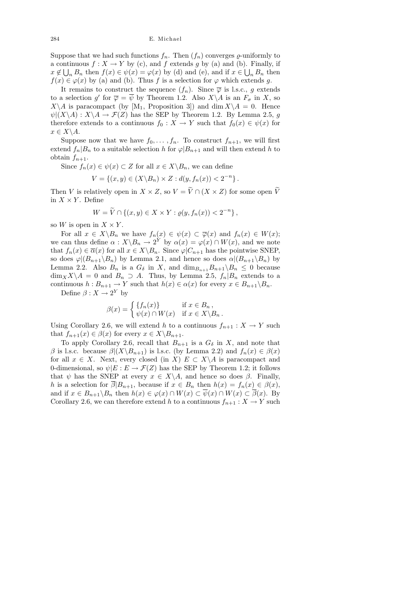284 E. Michael

Suppose that we had such functions  $f_n$ . Then  $(f_n)$  converges  $\varrho$ -uniformly to a continuous  $f: X \to Y$  by (c), and f extends g by (a) and (b). Finally, if  $x \notin \bigcup_n B_n$  then  $f(x) \in \psi(x) = \varphi(x)$  by (d) and (e), and if  $x \in \bigcup_n B_n$  then  $f(x) \in \varphi(x)$  by (a) and (b). Thus f is a selection for  $\varphi$  which extends g.

It remains to construct the sequence  $(f_n)$ . Since  $\overline{\varphi}$  is l.s.c., g extends to a selection g' for  $\overline{\varphi} = \overline{\psi}$  by Theorem 1.2. Also  $X \backslash A$  is an  $F_{\sigma}$  in X, so  $X\setminus A$  is paracompact (by  $[M_1,$  Proposition 3) and dim  $X\setminus A = 0$ . Hence  $\psi|(X\backslash A): X\backslash A \to \mathcal{F}(Z)$  has the SEP by Theorem 1.2. By Lemma 2.5, q therefore extends to a continuous  $f_0 : X \to Y$  such that  $f_0(x) \in \psi(x)$  for  $x \in X \backslash A$ .

Suppose now that we have  $f_0, \ldots, f_n$ . To construct  $f_{n+1}$ , we will first extend  $f_n|B_n$  to a suitable selection h for  $\varphi|B_{n+1}$  and will then extend h to obtain  $f_{n+1}$ .

Since  $f_n(x) \in \psi(x) \subset Z$  for all  $x \in X \backslash B_n$ , we can define

$$
V = \{(x, y) \in (X \backslash B_n) \times Z : d(y, f_n(x)) < 2^{-n}\}.
$$

Then V is relatively open in  $X \times Z$ , so  $V = \widetilde{V} \cap (X \times Z)$  for some open  $\widetilde{V}$ in  $X \times Y$ . Define

$$
W = \widetilde{V} \cap \{(x, y) \in X \times Y : \varrho(y, f_n(x)) < 2^{-n}\},
$$

so W is open in  $X \times Y$ .

For all  $x \in X \backslash B_n$  we have  $f_n(x) \in \psi(x) \subset \overline{\varphi}(x)$  and  $f_n(x) \in W(x)$ ; we can thus define  $\alpha: X \backslash B_n \to 2^Y$  by  $\alpha(x) = \varphi(x) \cap W(x)$ , and we note that  $f_n(x) \in \overline{\alpha}(x)$  for all  $x \in X \backslash B_n$ . Since  $\varphi|C_{n+1}$  has the pointwise SNEP, so does  $\varphi|(B_{n+1}\backslash B_n)$  by Lemma 2.1, and hence so does  $\alpha|(B_{n+1}\backslash B_n)$  by Lemma 2.2. Also  $B_n$  is a  $G_\delta$  in X, and  $\dim_{B_{n+1}} B_{n+1} \backslash B_n \leq 0$  because  $\dim_X X \backslash A = 0$  and  $B_n \supset A$ . Thus, by Lemma 2.5,  $f_n | B_n$  extends to a continuous  $h : B_{n+1} \to Y$  such that  $h(x) \in \alpha(x)$  for every  $x \in B_{n+1} \backslash B_n$ .

Define  $\beta: X \to 2^Y$  by

$$
\beta(x) = \begin{cases} \{f_n(x)\} & \text{if } x \in B_n, \\ \psi(x) \cap W(x) & \text{if } x \in X \backslash B_n. \end{cases}
$$

Using Corollary 2.6, we will extend h to a continuous  $f_{n+1}: X \to Y$  such that  $f_{n+1}(x) \in \beta(x)$  for every  $x \in X \backslash B_{n+1}$ .

To apply Corollary 2.6, recall that  $B_{n+1}$  is a  $G_{\delta}$  in X, and note that β is l.s.c. because  $\beta|(X\setminus B_{n+1})$  is l.s.c. (by Lemma 2.2) and  $f_n(x) \in \beta(x)$ for all  $x \in X$ . Next, every closed (in X)  $E \subset X \backslash A$  is paracompact and 0-dimensional, so  $\psi|E : E \to \mathcal{F}(Z)$  has the SEP by Theorem 1.2; it follows that  $\psi$  has the SNEP at every  $x \in X \backslash A$ , and hence so does  $\beta$ . Finally, h is a selection for  $\overline{\beta}|B_{n+1}$ , because if  $x \in B_n$  then  $h(x) = f_n(x) \in \beta(x)$ , and if  $x \in B_{n+1} \backslash B_n$  then  $h(x) \in \varphi(x) \cap W(x) \subset \overline{\psi}(x) \cap W(x) \subset \overline{\beta}(x)$ . By Corollary 2.6, we can therefore extend h to a continuous  $f_{n+1}: X \to Y$  such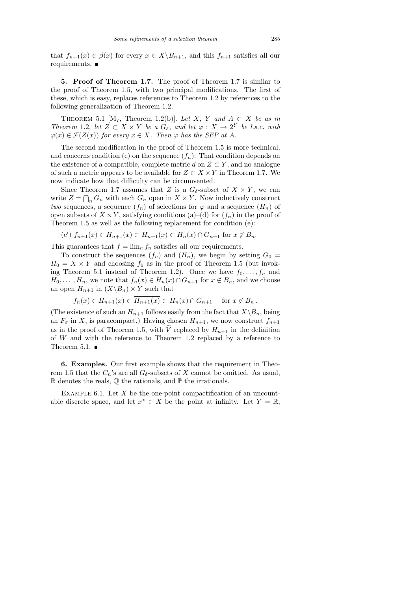that  $f_{n+1}(x) \in \beta(x)$  for every  $x \in X \backslash B_{n+1}$ , and this  $f_{n+1}$  satisfies all our requirements.

5. Proof of Theorem 1.7. The proof of Theorem 1.7 is similar to the proof of Theorem 1.5, with two principal modifications. The first of these, which is easy, replaces references to Theorem 1.2 by references to the following generalization of Theorem 1.2.

THEOREM 5.1 [M<sub>7</sub>, Theorem 1.2(b)]. Let X, Y and  $A \subset X$  be as in Theorem 1.2, let  $Z \subset X \times Y$  be a  $G_{\delta}$ , and let  $\varphi : X \to 2^Y$  be l.s.c. with  $\varphi(x) \in \mathcal{F}(Z(x))$  for every  $x \in X$ . Then  $\varphi$  has the SEP at A.

The second modification in the proof of Theorem 1.5 is more technical, and concerns condition (e) on the sequence  $(f_n)$ . That condition depends on the existence of a compatible, complete metric d on  $Z \subset Y$ , and no analogue of such a metric appears to be available for  $Z \subset X \times Y$  in Theorem 1.7. We now indicate how that difficulty can be circumvented.

Since Theorem 1.7 assumes that Z is a  $G_{\delta}$ -subset of  $X \times Y$ , we can write  $Z = \bigcap_n G_n$  with each  $G_n$  open in  $X \times Y$ . Now inductively construct two sequences, a sequence  $(f_n)$  of selections for  $\overline{\varphi}$  and a sequence  $(H_n)$  of open subsets of  $X \times Y$ , satisfying conditions (a)–(d) for  $(f_n)$  in the proof of Theorem 1.5 as well as the following replacement for condition (e):

$$
(e') f_{n+1}(x) \in H_{n+1}(x) \subset \overline{H_{n+1}(x)} \subset H_n(x) \cap G_{n+1} \text{ for } x \notin B_n.
$$

This guarantees that  $f = \lim_{n} f_n$  satisfies all our requirements.

To construct the sequences  $(f_n)$  and  $(H_n)$ , we begin by setting  $G_0 =$  $H_0 = X \times Y$  and choosing  $f_0$  as in the proof of Theorem 1.5 (but invoking Theorem 5.1 instead of Theorem 1.2). Once we have  $f_0, \ldots, f_n$  and  $H_0, \ldots, H_n$ , we note that  $f_n(x) \in H_n(x) \cap G_{n+1}$  for  $x \notin B_n$ , and we choose an open  $H_{n+1}$  in  $(X \ B_n) \times Y$  such that

$$
f_n(x) \in H_{n+1}(x) \subset \overline{H_{n+1}(x)} \subset H_n(x) \cap G_{n+1}
$$
 for  $x \notin B_n$ .

(The existence of such an  $H_{n+1}$  follows easily from the fact that  $X\backslash B_n$ , being an  $F_{\sigma}$  in X, is paracompact.) Having chosen  $H_{n+1}$ , we now construct  $f_{n+1}$ as in the proof of Theorem 1.5, with  $\tilde{V}$  replaced by  $H_{n+1}$  in the definition of W and with the reference to Theorem 1.2 replaced by a reference to Theorem 5.1.  $\blacksquare$ 

6. Examples. Our first example shows that the requirement in Theorem 1.5 that the  $C_n$ 's are all  $G_\delta$ -subsets of X cannot be omitted. As usual,  $\mathbb R$  denotes the reals,  $\mathbb Q$  the rationals, and  $\mathbb P$  the irrationals.

EXAMPLE 6.1. Let  $X$  be the one-point compactification of an uncountable discrete space, and let  $x^* \in X$  be the point at infinity. Let  $Y = \mathbb{R}$ ,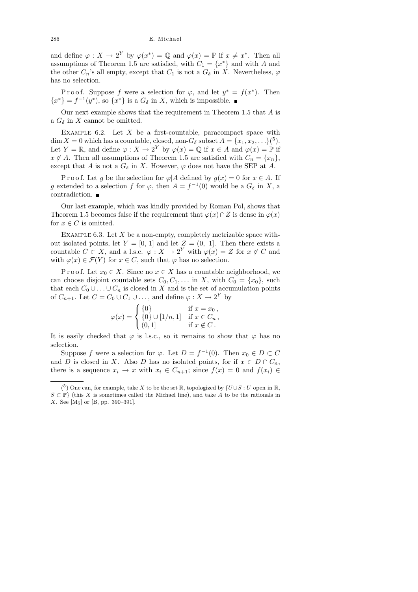and define  $\varphi: X \to 2^Y$  by  $\varphi(x^*) = \mathbb{Q}$  and  $\varphi(x) = \mathbb{P}$  if  $x \neq x^*$ . Then all assumptions of Theorem 1.5 are satisfied, with  $C_1 = \{x^*\}$  and with A and the other  $C_n$ 's all empty, except that  $C_1$  is not a  $G_\delta$  in X. Nevertheless,  $\varphi$ has no selection.

P r o o f. Suppose f were a selection for  $\varphi$ , and let  $y^* = f(x^*)$ . Then  ${x^*} = f^{-1}(y^*)$ , so  ${x^*}$  is a  $G_\delta$  in X, which is impossible.

Our next example shows that the requirement in Theorem 1.5 that A is a  $G_{\delta}$  in X cannot be omitted.

EXAMPLE  $6.2$ . Let X be a first-countable, paracompact space with  $\dim X = 0$  which has a countable, closed, non- $G_{\delta}$  subset  $A = \{x_1, x_2, \ldots\}^{5}$ . Let  $Y = \mathbb{R}$ , and define  $\varphi : X \to 2^Y$  by  $\varphi(x) = \mathbb{Q}$  if  $x \in A$  and  $\varphi(x) = \mathbb{P}$  if  $x \notin A$ . Then all assumptions of Theorem 1.5 are satisfied with  $C_n = \{x_n\},\$ except that A is not a  $G_{\delta}$  in X. However,  $\varphi$  does not have the SEP at A.

P r o o f. Let g be the selection for  $\varphi$  A defined by  $g(x) = 0$  for  $x \in A$ . If g extended to a selection f for  $\varphi$ , then  $A = f^{-1}(0)$  would be a  $G_{\delta}$  in X, a contradiction.  $\blacksquare$ 

Our last example, which was kindly provided by Roman Pol, shows that Theorem 1.5 becomes false if the requirement that  $\overline{\varphi}(x) \cap Z$  is dense in  $\overline{\varphi}(x)$ for  $x \in C$  is omitted.

EXAMPLE 6.3. Let  $X$  be a non-empty, completely metrizable space without isolated points, let  $Y = [0, 1]$  and let  $Z = (0, 1]$ . Then there exists a countable  $C \subset X$ , and a l.s.c.  $\varphi: X \to 2^Y$  with  $\varphi(x) = Z$  for  $x \notin C$  and with  $\varphi(x) \in \mathcal{F}(Y)$  for  $x \in C$ , such that  $\varphi$  has no selection.

P r o o f. Let  $x_0 \in X$ . Since no  $x \in X$  has a countable neighborhood, we can choose disjoint countable sets  $C_0, C_1, \ldots$  in X, with  $C_0 = \{x_0\}$ , such that each  $C_0 \cup \ldots \cup C_n$  is closed in X and is the set of accumulation points of  $C_{n+1}$ . Let  $C = C_0 \cup C_1 \cup \ldots$ , and define  $\varphi: X \to 2^Y$  by

$$
\varphi(x) = \begin{cases} \{0\} & \text{if } x = x_0, \\ \{0\} \cup [1/n, 1] & \text{if } x \in C_n, \\ (0, 1) & \text{if } x \notin C. \end{cases}
$$

It is easily checked that  $\varphi$  is l.s.c., so it remains to show that  $\varphi$  has no selection.

Suppose f were a selection for  $\varphi$ . Let  $D = f^{-1}(0)$ . Then  $x_0 \in D \subset C$ and D is closed in X. Also D has no isolated points, for if  $x \in D \cap C_n$ , there is a sequence  $x_i \to x$  with  $x_i \in C_{n+1}$ ; since  $f(x) = 0$  and  $f(x_i) \in$ 

<sup>(&</sup>lt;sup>5</sup>) One can, for example, take X to be the set  $\mathbb R$ , topologized by  $\{U \cup S : U$  open in  $\mathbb R$ ,  $S \subset \mathbb{P}$  (this X is sometimes called the Michael line), and take A to be the rationals in X. See [M5] or [B, pp. 390–391].